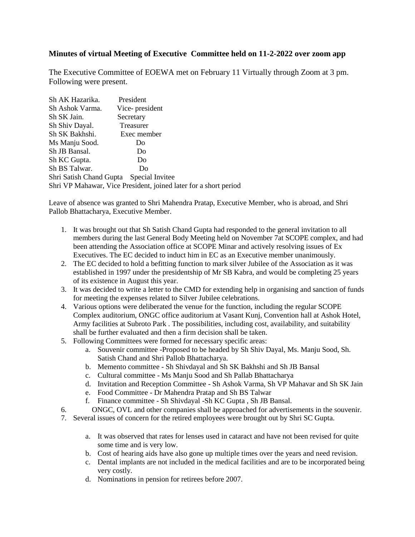## **Minutes of virtual Meeting of Executive Committee held on 11-2-2022 over zoom app**

The Executive Committee of EOEWA met on February 11 Virtually through Zoom at 3 pm. Following were present.

| Sh AK Hazarika.         | President                                                        |  |
|-------------------------|------------------------------------------------------------------|--|
| Sh Ashok Varma.         | Vice-president                                                   |  |
| Sh SK Jain.             | Secretary                                                        |  |
| Sh Shiv Dayal.          | Treasurer                                                        |  |
| Sh SK Bakhshi.          | Exec member                                                      |  |
| Ms Manju Sood.          | D <sub>0</sub>                                                   |  |
| Sh JB Bansal.           | Do                                                               |  |
| Sh KC Gupta.            | Do                                                               |  |
| Sh BS Talwar.           | Do                                                               |  |
| Shri Satish Chand Gupta | Special Invitee                                                  |  |
|                         | Shri VP Mahawar, Vice President, joined later for a short period |  |

Leave of absence was granted to Shri Mahendra Pratap, Executive Member, who is abroad, and Shri Pallob Bhattacharya, Executive Member.

- 1. It was brought out that Sh Satish Chand Gupta had responded to the general invitation to all members during the last General Body Meeting held on November 7at SCOPE complex, and had been attending the Association office at SCOPE Minar and actively resolving issues of Ex Executives. The EC decided to induct him in EC as an Executive member unanimously.
- 2. The EC decided to hold a befitting function to mark silver Jubilee of the Association as it was established in 1997 under the presidentship of Mr SB Kabra, and would be completing 25 years of its existence in August this year.
- 3. It was decided to write a letter to the CMD for extending help in organising and sanction of funds for meeting the expenses related to Silver Jubilee celebrations.
- 4. Various options were deliberated the venue for the function, including the regular SCOPE Complex auditorium, ONGC office auditorium at Vasant Kunj, Convention hall at Ashok Hotel, Army facilities at Subroto Park . The possibilities, including cost, availability, and suitability shall be further evaluated and then a firm decision shall be taken.
- 5. Following Committees were formed for necessary specific areas:
	- a. Souvenir committee -Proposed to be headed by Sh Shiv Dayal, Ms. Manju Sood, Sh. Satish Chand and Shri Pallob Bhattacharya.
	- b. Memento committee Sh Shivdayal and Sh SK Bakhshi and Sh JB Bansal
	- c. Cultural committee Ms Manju Sood and Sh Pallab Bhattacharya
	- d. Invitation and Reception Committee Sh Ashok Varma, Sh VP Mahavar and Sh SK Jain
	- e. Food Committee Dr Mahendra Pratap and Sh BS Talwar
	- f. Finance committee Sh Shivdayal -Sh KC Gupta , Sh JB Bansal.
- 6. ONGC, OVL and other companies shall be approached for advertisements in the souvenir.
- 7. Several issues of concern for the retired employees were brought out by Shri SC Gupta.
	- a. It was observed that rates for lenses used in cataract and have not been revised for quite some time and is very low.
	- b. Cost of hearing aids have also gone up multiple times over the years and need revision.
	- c. Dental implants are not included in the medical facilities and are to be incorporated being very costly.
	- d. Nominations in pension for retirees before 2007.